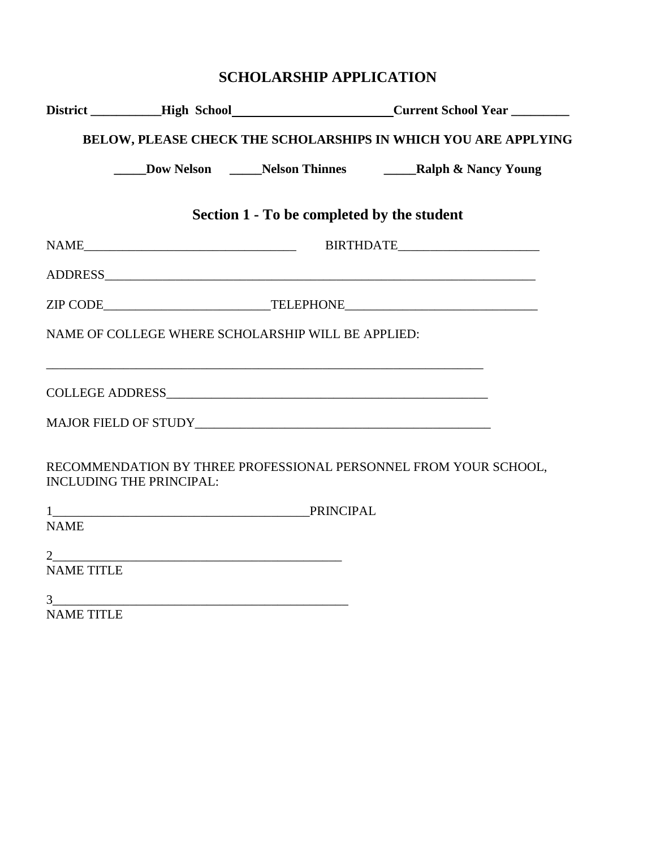## **SCHOLARSHIP APPLICATION**

|                   |                                                    |                                            | District __________High School ______________________Current School Year ________               |
|-------------------|----------------------------------------------------|--------------------------------------------|-------------------------------------------------------------------------------------------------|
|                   |                                                    |                                            | BELOW, PLEASE CHECK THE SCHOLARSHIPS IN WHICH YOU ARE APPLYING                                  |
|                   |                                                    |                                            | <b>EXAMPLE DOW Nelson CONCERT DESCRIPTION CONTRACT DEAL DEAL PROOF CONTRACT DEACH OF SCHOOL</b> |
|                   |                                                    | Section 1 - To be completed by the student |                                                                                                 |
|                   |                                                    |                                            |                                                                                                 |
|                   |                                                    |                                            |                                                                                                 |
|                   |                                                    |                                            |                                                                                                 |
|                   | NAME OF COLLEGE WHERE SCHOLARSHIP WILL BE APPLIED: |                                            |                                                                                                 |
|                   |                                                    |                                            |                                                                                                 |
|                   |                                                    |                                            |                                                                                                 |
|                   |                                                    |                                            |                                                                                                 |
|                   | <b>INCLUDING THE PRINCIPAL:</b>                    |                                            | RECOMMENDATION BY THREE PROFESSIONAL PERSONNEL FROM YOUR SCHOOL,                                |
|                   |                                                    |                                            |                                                                                                 |
| <b>NAME</b>       |                                                    |                                            |                                                                                                 |
|                   | 2 $\overline{\phantom{a}}$                         |                                            |                                                                                                 |
| <b>NAME TITLE</b> |                                                    |                                            |                                                                                                 |
|                   |                                                    |                                            |                                                                                                 |
| <b>NAME TITLE</b> |                                                    |                                            |                                                                                                 |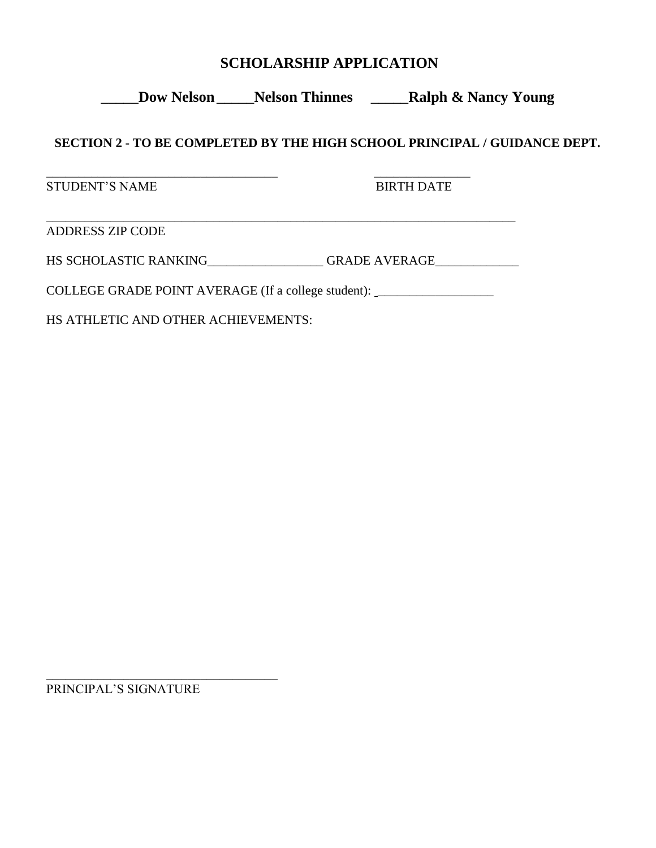## **SCHOLARSHIP APPLICATION**

**\_\_\_\_\_Dow Nelson\_\_\_\_\_Nelson Thinnes \_\_\_\_\_Ralph & Nancy Young**

## **SECTION 2 - TO BE COMPLETED BY THE HIGH SCHOOL PRINCIPAL / GUIDANCE DEPT.**

STUDENT'S NAME BIRTH DATE

\_\_\_\_\_\_\_\_\_\_\_\_\_\_\_\_\_\_\_\_\_\_\_\_\_\_\_\_\_\_\_\_\_\_\_\_ \_\_\_\_\_\_\_\_\_\_\_\_\_\_\_

\_\_\_\_\_\_\_\_\_\_\_\_\_\_\_\_\_\_\_\_\_\_\_\_\_\_\_\_\_\_\_\_\_\_\_\_\_\_\_\_\_\_\_\_\_\_\_\_\_\_\_\_\_\_\_\_\_\_\_\_\_\_\_\_\_\_\_\_\_\_\_\_\_

ADDRESS ZIP CODE

HS SCHOLASTIC RANKING\_\_\_\_\_\_\_\_\_\_\_\_\_\_\_\_\_\_GRADE AVERAGE\_\_\_\_\_\_\_\_\_\_\_\_\_\_\_\_\_\_\_\_\_\_\_\_\_\_\_\_

COLLEGE GRADE POINT AVERAGE (If a college student): \_\_\_\_\_\_\_\_\_\_\_\_\_\_\_\_\_\_

HS ATHLETIC AND OTHER ACHIEVEMENTS:

PRINCIPAL'S SIGNATURE

\_\_\_\_\_\_\_\_\_\_\_\_\_\_\_\_\_\_\_\_\_\_\_\_\_\_\_\_\_\_\_\_\_\_\_\_